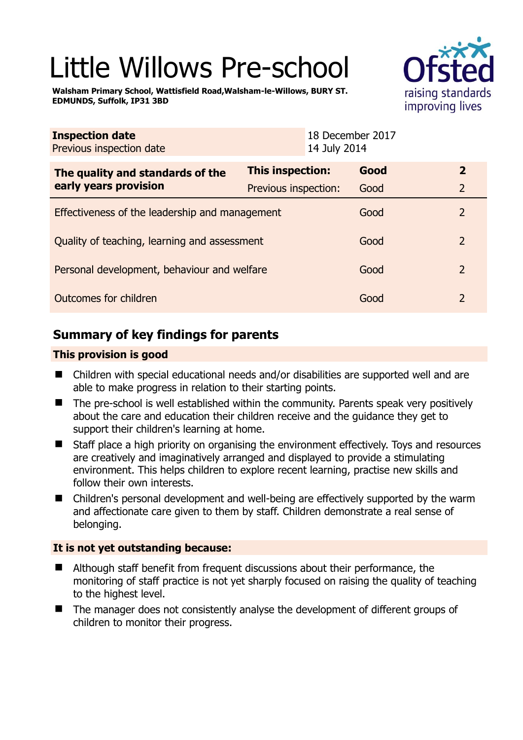# Little Willows Pre-school

**Walsham Primary School, Wattisfield Road,Walsham-le-Willows, BURY ST. EDMUNDS, Suffolk, IP31 3BD** 



| <b>Inspection date</b><br>Previous inspection date        |                      | 18 December 2017<br>14 July 2014 |      |                |
|-----------------------------------------------------------|----------------------|----------------------------------|------|----------------|
| The quality and standards of the<br>early years provision | This inspection:     |                                  | Good | $\mathbf{2}$   |
|                                                           | Previous inspection: |                                  | Good | $\overline{2}$ |
| Effectiveness of the leadership and management            |                      |                                  | Good | 2              |
| Quality of teaching, learning and assessment              |                      |                                  | Good | $\mathcal{P}$  |
| Personal development, behaviour and welfare               |                      |                                  | Good | $\overline{2}$ |
| Outcomes for children                                     |                      |                                  | Good | $\mathcal{P}$  |

# **Summary of key findings for parents**

## **This provision is good**

- Children with special educational needs and/or disabilities are supported well and are able to make progress in relation to their starting points.
- $\blacksquare$  The pre-school is well established within the community. Parents speak very positively about the care and education their children receive and the guidance they get to support their children's learning at home.
- Staff place a high priority on organising the environment effectively. Toys and resources are creatively and imaginatively arranged and displayed to provide a stimulating environment. This helps children to explore recent learning, practise new skills and follow their own interests.
- Children's personal development and well-being are effectively supported by the warm and affectionate care given to them by staff. Children demonstrate a real sense of belonging.

## **It is not yet outstanding because:**

- Although staff benefit from frequent discussions about their performance, the monitoring of staff practice is not yet sharply focused on raising the quality of teaching to the highest level.
- The manager does not consistently analyse the development of different groups of children to monitor their progress.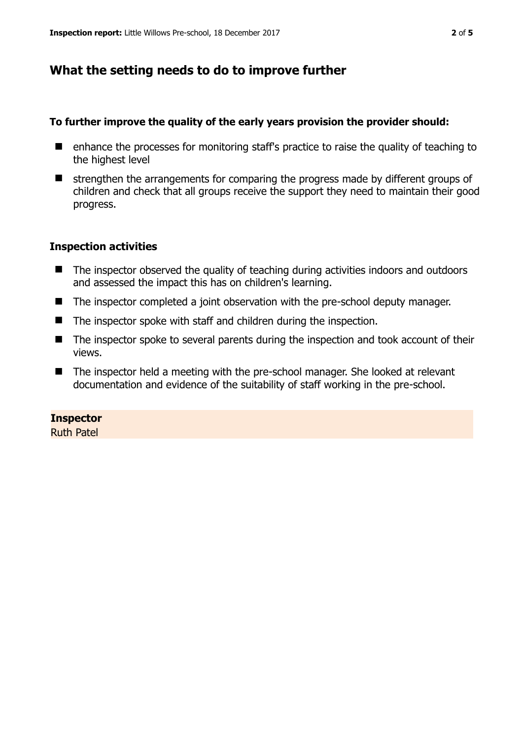# **What the setting needs to do to improve further**

## **To further improve the quality of the early years provision the provider should:**

- enhance the processes for monitoring staff's practice to raise the quality of teaching to the highest level
- $\blacksquare$  strengthen the arrangements for comparing the progress made by different groups of children and check that all groups receive the support they need to maintain their good progress.

## **Inspection activities**

- The inspector observed the quality of teaching during activities indoors and outdoors and assessed the impact this has on children's learning.
- The inspector completed a joint observation with the pre-school deputy manager.
- The inspector spoke with staff and children during the inspection.
- The inspector spoke to several parents during the inspection and took account of their views.
- The inspector held a meeting with the pre-school manager. She looked at relevant documentation and evidence of the suitability of staff working in the pre-school.

## **Inspector**

Ruth Patel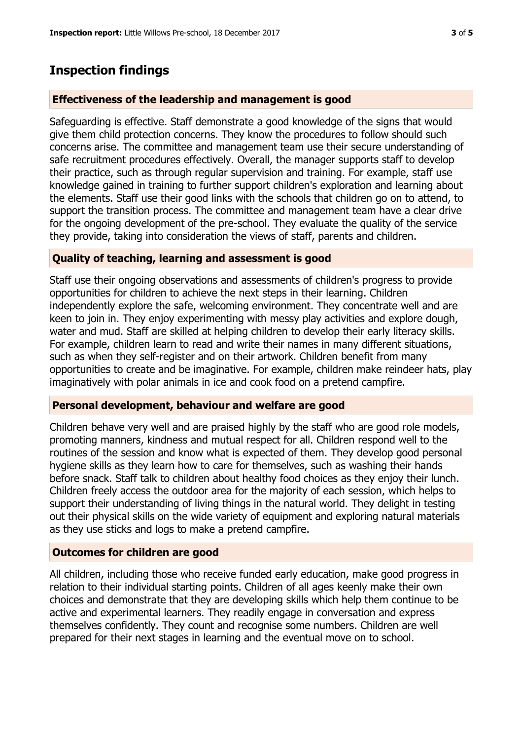## **Inspection findings**

#### **Effectiveness of the leadership and management is good**

Safeguarding is effective. Staff demonstrate a good knowledge of the signs that would give them child protection concerns. They know the procedures to follow should such concerns arise. The committee and management team use their secure understanding of safe recruitment procedures effectively. Overall, the manager supports staff to develop their practice, such as through regular supervision and training. For example, staff use knowledge gained in training to further support children's exploration and learning about the elements. Staff use their good links with the schools that children go on to attend, to support the transition process. The committee and management team have a clear drive for the ongoing development of the pre-school. They evaluate the quality of the service they provide, taking into consideration the views of staff, parents and children.

#### **Quality of teaching, learning and assessment is good**

Staff use their ongoing observations and assessments of children's progress to provide opportunities for children to achieve the next steps in their learning. Children independently explore the safe, welcoming environment. They concentrate well and are keen to join in. They enjoy experimenting with messy play activities and explore dough, water and mud. Staff are skilled at helping children to develop their early literacy skills. For example, children learn to read and write their names in many different situations, such as when they self-register and on their artwork. Children benefit from many opportunities to create and be imaginative. For example, children make reindeer hats, play imaginatively with polar animals in ice and cook food on a pretend campfire.

#### **Personal development, behaviour and welfare are good**

Children behave very well and are praised highly by the staff who are good role models, promoting manners, kindness and mutual respect for all. Children respond well to the routines of the session and know what is expected of them. They develop good personal hygiene skills as they learn how to care for themselves, such as washing their hands before snack. Staff talk to children about healthy food choices as they enjoy their lunch. Children freely access the outdoor area for the majority of each session, which helps to support their understanding of living things in the natural world. They delight in testing out their physical skills on the wide variety of equipment and exploring natural materials as they use sticks and logs to make a pretend campfire.

#### **Outcomes for children are good**

All children, including those who receive funded early education, make good progress in relation to their individual starting points. Children of all ages keenly make their own choices and demonstrate that they are developing skills which help them continue to be active and experimental learners. They readily engage in conversation and express themselves confidently. They count and recognise some numbers. Children are well prepared for their next stages in learning and the eventual move on to school.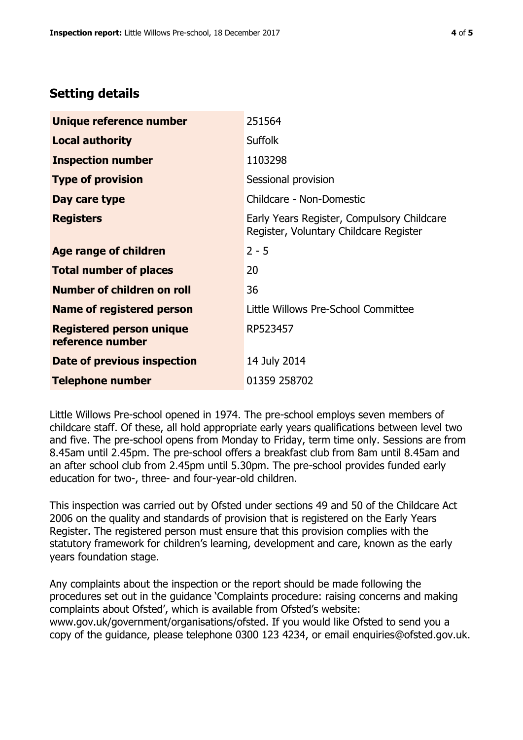# **Setting details**

| Unique reference number                             | 251564                                                                               |  |
|-----------------------------------------------------|--------------------------------------------------------------------------------------|--|
| <b>Local authority</b>                              | <b>Suffolk</b>                                                                       |  |
| <b>Inspection number</b>                            | 1103298                                                                              |  |
| <b>Type of provision</b>                            | Sessional provision                                                                  |  |
| Day care type                                       | Childcare - Non-Domestic                                                             |  |
| <b>Registers</b>                                    | Early Years Register, Compulsory Childcare<br>Register, Voluntary Childcare Register |  |
| Age range of children                               | $2 - 5$                                                                              |  |
| <b>Total number of places</b>                       | 20                                                                                   |  |
| Number of children on roll                          | 36                                                                                   |  |
| Name of registered person                           | Little Willows Pre-School Committee                                                  |  |
| <b>Registered person unique</b><br>reference number | RP523457                                                                             |  |
| Date of previous inspection                         | 14 July 2014                                                                         |  |
| <b>Telephone number</b>                             | 01359 258702                                                                         |  |

Little Willows Pre-school opened in 1974. The pre-school employs seven members of childcare staff. Of these, all hold appropriate early years qualifications between level two and five. The pre-school opens from Monday to Friday, term time only. Sessions are from 8.45am until 2.45pm. The pre-school offers a breakfast club from 8am until 8.45am and an after school club from 2.45pm until 5.30pm. The pre-school provides funded early education for two-, three- and four-year-old children.

This inspection was carried out by Ofsted under sections 49 and 50 of the Childcare Act 2006 on the quality and standards of provision that is registered on the Early Years Register. The registered person must ensure that this provision complies with the statutory framework for children's learning, development and care, known as the early years foundation stage.

Any complaints about the inspection or the report should be made following the procedures set out in the guidance 'Complaints procedure: raising concerns and making complaints about Ofsted', which is available from Ofsted's website: www.gov.uk/government/organisations/ofsted. If you would like Ofsted to send you a copy of the guidance, please telephone 0300 123 4234, or email enquiries@ofsted.gov.uk.